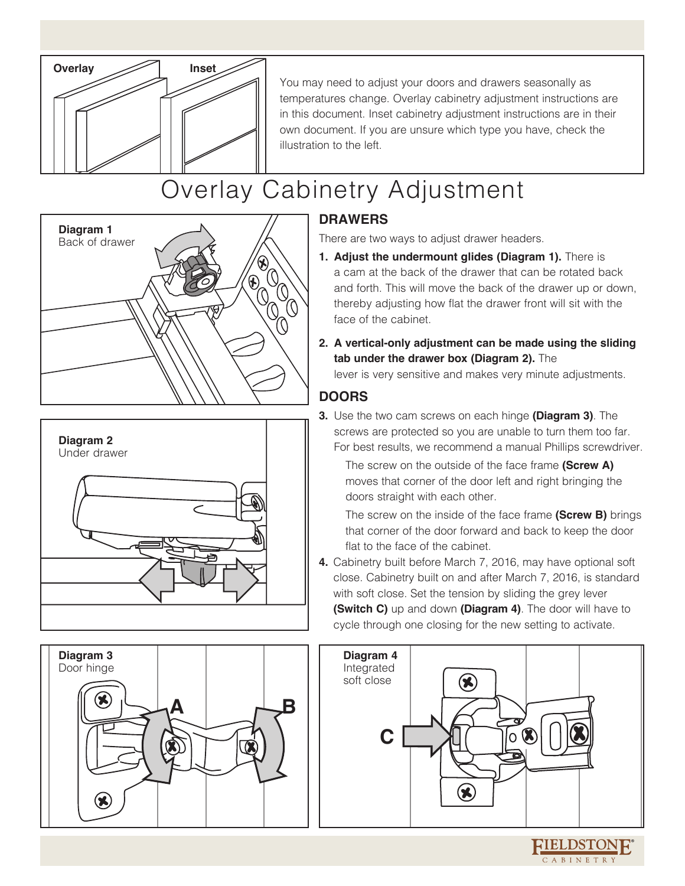

You may need to adjust your doors and drawers seasonally as temperatures change. Overlay cabinetry adjustment instructions are in this document. Inset cabinetry adjustment instructions are in their own document. If you are unsure which type you have, check the illustration to the left.

## Overlay Cabinetry Adjustment







### **DRAWERS**

There are two ways to adjust drawer headers.

- **1. Adjust the undermount glides (Diagram 1).** There is a cam at the back of the drawer that can be rotated back and forth. This will move the back of the drawer up or down, thereby adjusting how flat the drawer front will sit with the face of the cabinet.
- **2. A vertical-only adjustment can be made using the sliding tab under the drawer box (Diagram 2).** The

lever is very sensitive and makes very minute adjustments.

#### **DOORS**

**3.** Use the two cam screws on each hinge **(Diagram 3)**. The screws are protected so you are unable to turn them too far. For best results, we recommend a manual Phillips screwdriver.

The screw on the outside of the face frame **(Screw A)** moves that corner of the door left and right bringing the doors straight with each other.

The screw on the inside of the face frame **(Screw B)** brings that corner of the door forward and back to keep the door flat to the face of the cabinet.

**4.** Cabinetry built before March 7, 2016, may have optional soft close. Cabinetry built on and after March 7, 2016, is standard with soft close. Set the tension by sliding the grey lever **(Switch C)** up and down **(Diagram 4)**. The door will have to cycle through one closing for the new setting to activate.